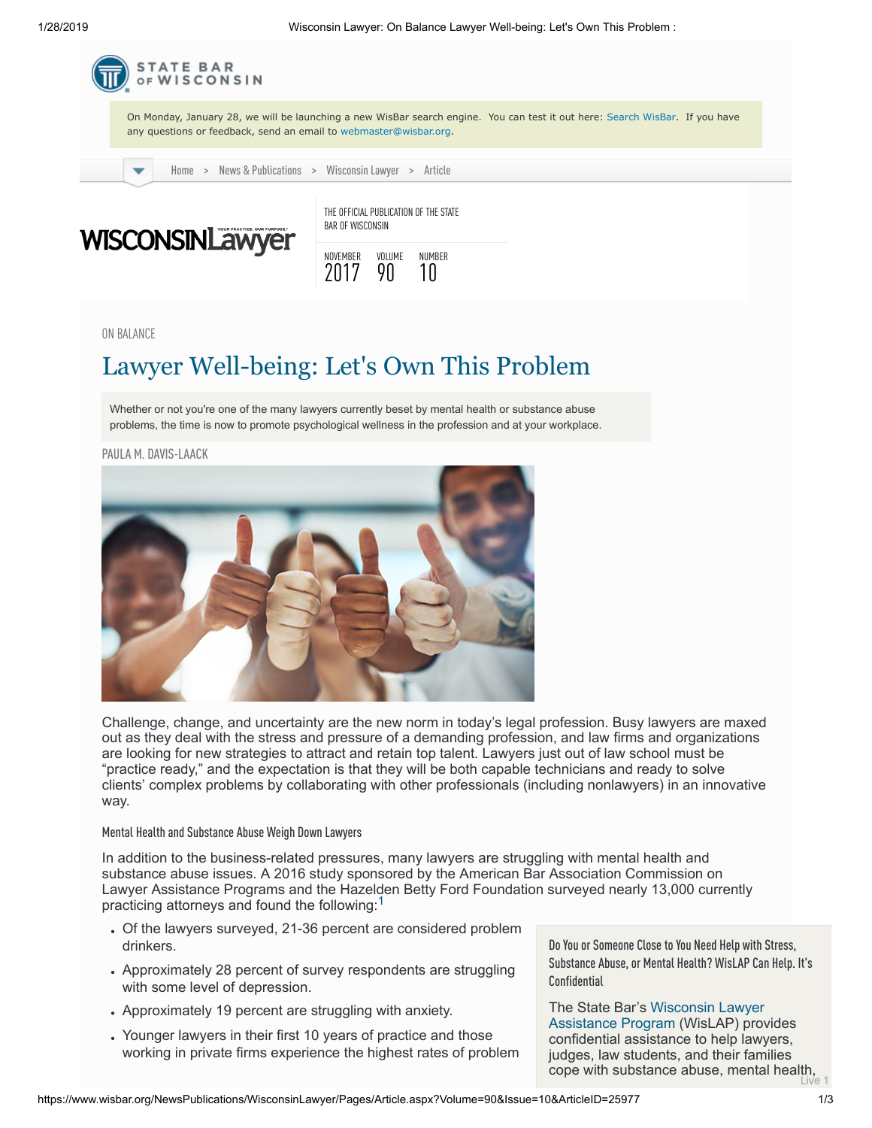1/28/2019 Wisconsin Lawyer: On Balance Lawyer Well-being: Let's Own This Problem :



ON BALANCE

# Lawyer Well-being: Let's Own This Problem

Whether or not you're one of the many lawyers currently beset by mental health or substance abuse problems, the time is now to promote psychological wellness in the profession and at your workplace.

PAULA M. [DAVIS-LAACK](#page-1-0)



Challenge, change, and uncertainty are the new norm in today's legal profession. Busy lawyers are maxed out as they deal with the stress and pressure of a demanding profession, and law firms and organizations are looking for new strategies to attract and retain top talent. Lawyers just out of law school must be "practice ready," and the expectation is that they will be both capable technicians and ready to solve clients' complex problems by collaborating with other professionals (including nonlawyers) in an innovative way.

#### Mental Health and Substance Abuse Weigh Down Lawyers

In addition to the business-related pressures, many lawyers are struggling with mental health and substance abuse issues. A 2016 study sponsored by the American Bar Association Commission on Lawyer Assistance Programs and the Hazelden Betty Ford Foundation surveyed nearly 13,000 currently practicing attorneys and found the following:

- Of the lawyers surveyed, 21-36 percent are considered problem drinkers.
- Approximately 28 percent of survey respondents are struggling with some level of depression.
- Approximately 19 percent are struggling with anxiety.
- Younger lawyers in their first 10 years of practice and those working in private firms experience the highest rates of problem

Do You or Someone Close to You Need Help with Stress, Substance Abuse, or Mental Health? WisLAP Can Help. It's Confidential

The State Bar's Wisconsin Lawyer [Assistance Program \(WisLAP\) prov](http://www.wisbar.org/forMembers/WisLAP/Pages/Lawyer-Assistance-Program.aspx)ides confidential assistance to help lawyers, judges, law students, and their families cope with substance abuse, mental health,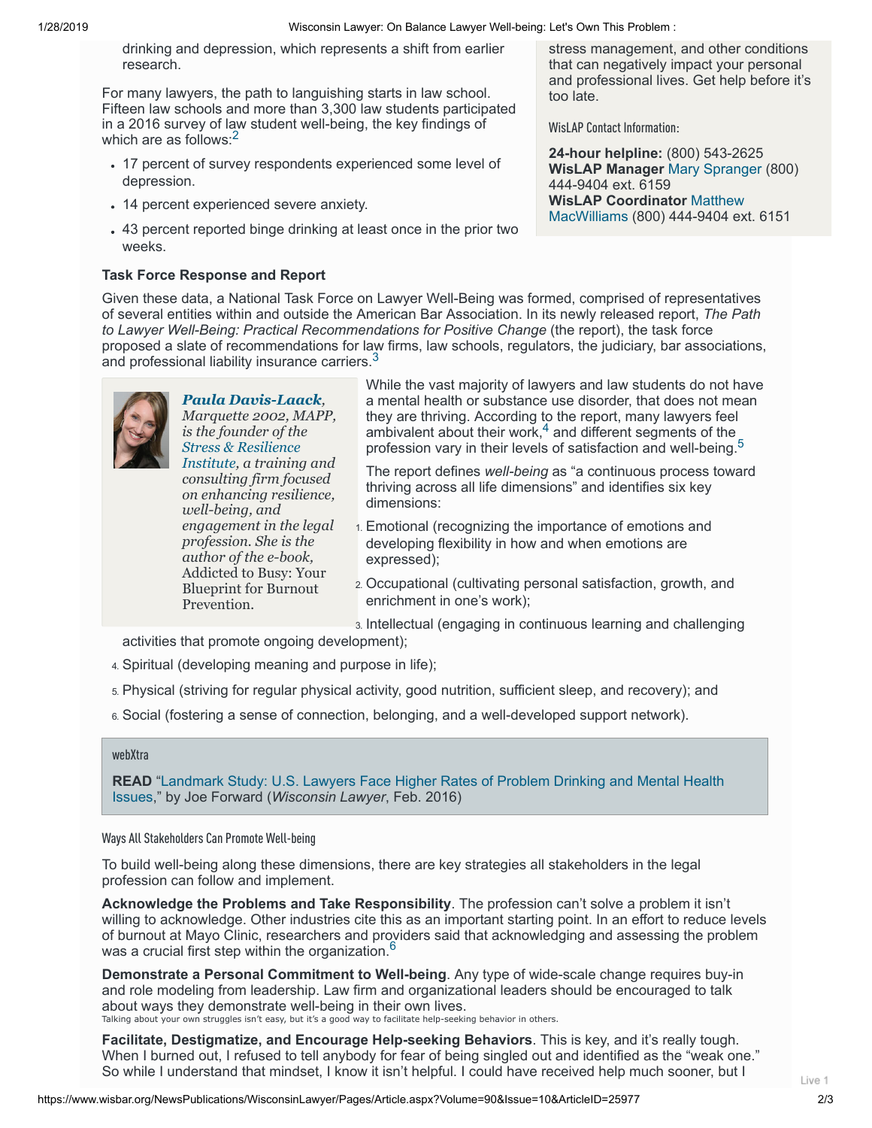1/28/2019 Wisconsin Lawyer: On Balance Lawyer Well-being: Let's Own This Problem :

drinking and depression, which represents a shift from earlier research.

For many lawyers, the path to languishing starts in law school. Fifteen law schools and more than 3,300 law students participated in a 2016 survey of law student well-being, the key findings of which are as follows: $<sup>2</sup>$  $<sup>2</sup>$  $<sup>2</sup>$ </sup>

- 17 percent of survey respondents experienced some level of depression.
- 14 percent experienced severe anxiety.
- 43 percent reported binge drinking at least once in the prior two weeks.

# **Task Force Response and Report**

stress management, and other conditions that can negatively impact your personal and professional lives. Get help before it's too late.

WisLAP Contact Information:

**24-hour helpline:** (800) 543-2625 **WisLAP Manager** [Mary Spranger](mailto:mspranger@wisbar.org) (800) 444-9404 ext. 6159 **WisLAP Coordinator** Matthew [MacWilliams\(800\) 444-9404 ex](mailto:mmacwilliams@wisbar.org)t. 6151

Given these data, a National Task Force on Lawyer Well-Being was formed, comprised of representatives of several entities within and outside the American Bar Association. In its newly released report, *The Path to Lawyer Well-Being: Practical Recommendations for Positive Change* (the report), the task force proposed a slate of recommendations for law firms, law schools, regulators, the judiciary, bar associations, and professional liability insurance carriers.  $3$ 

<span id="page-1-0"></span>

*Marquette 2002, MAPP, is the founder of the Stress & Resilience [Institute, a training](https://www.pauladavislaack.com/about/davis-laack-stress-resilience-institute/) and consulting firm focused on enhancing resilience, well-being, and engagement in the legal profession. She is the author of the e-book,* Addicted to Busy: Your Blueprint for Burnout Prevention*.* 

*[Paula Davis-Laack](mailto:paula@marieelizabethcompany.com),*

While the vast majority of lawyers and law students do not have a mental health or substance use disorder, that does not mean they are thriving. According to the report, many lawyers feel ambivalent about their work, $^4$  $^4$  and different segments of the  $\overline{\phantom{a}}$ profession vary in their levels of satisfaction and well-being.<sup>[5](#page-2-0)</sup>

The report defines *well-being* as "a continuous process toward thriving across all life dimensions" and identifies six key dimensions:

- 1. Emotional (recognizing the importance of emotions and developing flexibility in how and when emotions are expressed);
- 2. Occupational (cultivating personal satisfaction, growth, and enrichment in one's work);

3. Intellectual (engaging in continuous learning and challenging

activities that promote ongoing development);

- 4. Spiritual (developing meaning and purpose in life);
- 5. Physical (striving for regular physical activity, good nutrition, sufficient sleep, and recovery); and
- 6. Social (fostering a sense of connection, belonging, and a well-developed support network).

#### webXtra

**READ** ["Landmark Study: U.S. Lawyers Face Higher Rates of Problem Drinking and Mental Health](http://www.wisbar.org/NewsPublications/WisconsinLawyer/Pages/Article.aspx?Volume=89&Issue=2&ArticleID=24589) Issues," by Joe Forward (*Wisconsin Lawyer*, Feb. 2016)

### Ways All Stakeholders Can Promote Well-being

To build well-being along these dimensions, there are key strategies all stakeholders in the legal profession can follow and implement.

**Acknowledge the Problems and Take Responsibility**. The profession can't solve a problem it isn't willing to acknowledge. Other industries cite this as an important starting point. In an effort to reduce levels of burnout at Mayo Clinic, researchers and providers said that acknowledging and assessing the problem was a crucial first step within the organization.<sup>[6](#page-2-0)</sup>

**Demonstrate a Personal Commitment to Well-being**. Any type of wide-scale change requires buy-in and role modeling from leadership. Law firm and organizational leaders should be encouraged to talk about ways they demonstrate well-being in their own lives. Talking about your own struggles isn't easy, but it's a good way to facilitate help-seeking behavior in others.

**Facilitate, Destigmatize, and Encourage Help-seeking Behaviors**. This is key, and it's really tough. When I burned out, I refused to tell anybody for fear of being singled out and identified as the "weak one." So while I understand that mindset, I know it isn't helpful. I could have received help much sooner, but I